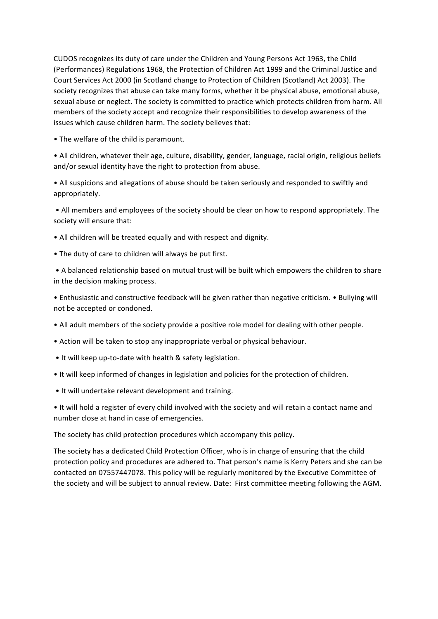CUDOS recognizes its duty of care under the Children and Young Persons Act 1963, the Child (Performances) Regulations 1968, the Protection of Children Act 1999 and the Criminal Justice and Court Services Act 2000 (in Scotland change to Protection of Children (Scotland) Act 2003). The society recognizes that abuse can take many forms, whether it be physical abuse, emotional abuse, sexual abuse or neglect. The society is committed to practice which protects children from harm. All members of the society accept and recognize their responsibilities to develop awareness of the issues which cause children harm. The society believes that:

• The welfare of the child is paramount.

• All children, whatever their age, culture, disability, gender, language, racial origin, religious beliefs and/or sexual identity have the right to protection from abuse.

• All suspicions and allegations of abuse should be taken seriously and responded to swiftly and appropriately.

• All members and employees of the society should be clear on how to respond appropriately. The society will ensure that:

• All children will be treated equally and with respect and dignity.

• The duty of care to children will always be put first.

• A balanced relationship based on mutual trust will be built which empowers the children to share in the decision making process.

• Enthusiastic and constructive feedback will be given rather than negative criticism. • Bullying will not be accepted or condoned.

- All adult members of the society provide a positive role model for dealing with other people.
- Action will be taken to stop any inappropriate verbal or physical behaviour.
- It will keep up-to-date with health & safety legislation.
- It will keep informed of changes in legislation and policies for the protection of children.
- It will undertake relevant development and training.

• It will hold a register of every child involved with the society and will retain a contact name and number close at hand in case of emergencies.

The society has child protection procedures which accompany this policy.

The society has a dedicated Child Protection Officer, who is in charge of ensuring that the child protection policy and procedures are adhered to. That person's name is Kerry Peters and she can be contacted on 07557447078. This policy will be regularly monitored by the Executive Committee of the society and will be subject to annual review. Date: First committee meeting following the AGM.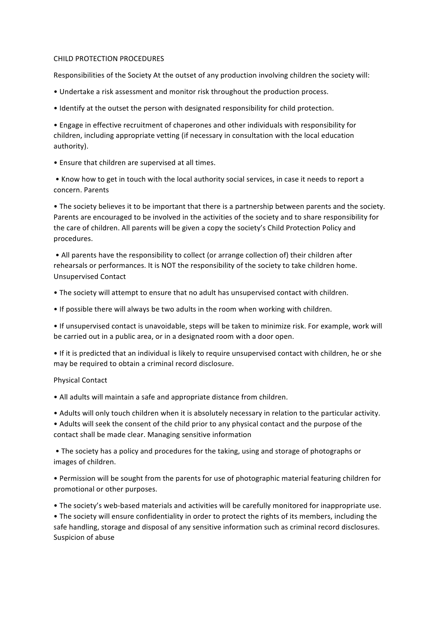## CHILD PROTECTION PROCEDURES

Responsibilities of the Society At the outset of any production involving children the society will:

- Undertake a risk assessment and monitor risk throughout the production process.
- Identify at the outset the person with designated responsibility for child protection.

• Engage in effective recruitment of chaperones and other individuals with responsibility for children, including appropriate vetting (if necessary in consultation with the local education authority). 

• Ensure that children are supervised at all times.

• Know how to get in touch with the local authority social services, in case it needs to report a concern. Parents 

• The society believes it to be important that there is a partnership between parents and the society. Parents are encouraged to be involved in the activities of the society and to share responsibility for the care of children. All parents will be given a copy the society's Child Protection Policy and procedures.

• All parents have the responsibility to collect (or arrange collection of) their children after rehearsals or performances. It is NOT the responsibility of the society to take children home. Unsupervised Contact 

- The society will attempt to ensure that no adult has unsupervised contact with children.
- If possible there will always be two adults in the room when working with children.

• If unsupervised contact is unavoidable, steps will be taken to minimize risk. For example, work will be carried out in a public area, or in a designated room with a door open.

• If it is predicted that an individual is likely to require unsupervised contact with children, he or she may be required to obtain a criminal record disclosure.

## Physical Contact

• All adults will maintain a safe and appropriate distance from children.

• Adults will only touch children when it is absolutely necessary in relation to the particular activity.

• Adults will seek the consent of the child prior to any physical contact and the purpose of the contact shall be made clear. Managing sensitive information

• The society has a policy and procedures for the taking, using and storage of photographs or images of children.

• Permission will be sought from the parents for use of photographic material featuring children for promotional or other purposes.

• The society's web-based materials and activities will be carefully monitored for inappropriate use.

• The society will ensure confidentiality in order to protect the rights of its members, including the safe handling, storage and disposal of any sensitive information such as criminal record disclosures. Suspicion of abuse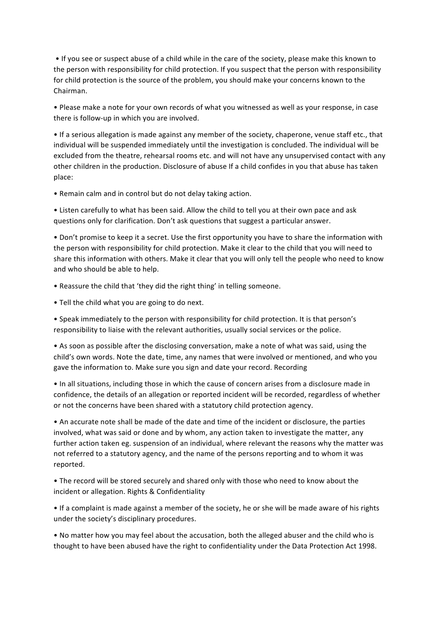• If you see or suspect abuse of a child while in the care of the society, please make this known to the person with responsibility for child protection. If you suspect that the person with responsibility for child protection is the source of the problem, you should make your concerns known to the Chairman. 

• Please make a note for your own records of what you witnessed as well as your response, in case there is follow-up in which you are involved.

• If a serious allegation is made against any member of the society, chaperone, venue staff etc., that individual will be suspended immediately until the investigation is concluded. The individual will be excluded from the theatre, rehearsal rooms etc. and will not have any unsupervised contact with any other children in the production. Disclosure of abuse If a child confides in you that abuse has taken place: 

• Remain calm and in control but do not delay taking action.

• Listen carefully to what has been said. Allow the child to tell you at their own pace and ask questions only for clarification. Don't ask questions that suggest a particular answer.

• Don't promise to keep it a secret. Use the first opportunity you have to share the information with the person with responsibility for child protection. Make it clear to the child that you will need to share this information with others. Make it clear that you will only tell the people who need to know and who should be able to help.

• Reassure the child that 'they did the right thing' in telling someone.

• Tell the child what you are going to do next.

• Speak immediately to the person with responsibility for child protection. It is that person's responsibility to liaise with the relevant authorities, usually social services or the police.

• As soon as possible after the disclosing conversation, make a note of what was said, using the child's own words. Note the date, time, any names that were involved or mentioned, and who you gave the information to. Make sure you sign and date your record. Recording

• In all situations, including those in which the cause of concern arises from a disclosure made in confidence, the details of an allegation or reported incident will be recorded, regardless of whether or not the concerns have been shared with a statutory child protection agency.

• An accurate note shall be made of the date and time of the incident or disclosure, the parties involved, what was said or done and by whom, any action taken to investigate the matter, any further action taken eg. suspension of an individual, where relevant the reasons why the matter was not referred to a statutory agency, and the name of the persons reporting and to whom it was reported. 

• The record will be stored securely and shared only with those who need to know about the incident or allegation. Rights & Confidentiality

• If a complaint is made against a member of the society, he or she will be made aware of his rights under the society's disciplinary procedures.

• No matter how you may feel about the accusation, both the alleged abuser and the child who is thought to have been abused have the right to confidentiality under the Data Protection Act 1998.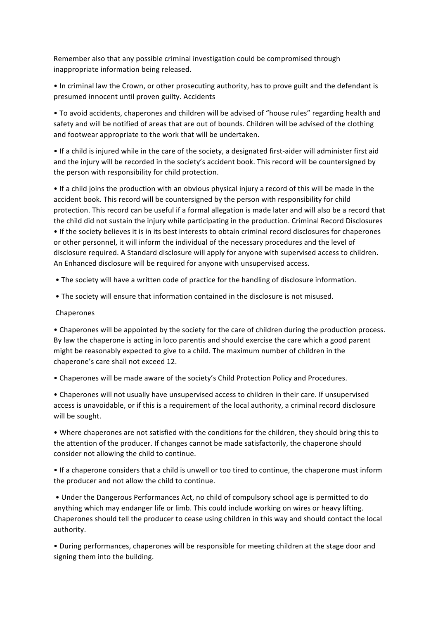Remember also that any possible criminal investigation could be compromised through inappropriate information being released.

• In criminal law the Crown, or other prosecuting authority, has to prove guilt and the defendant is presumed innocent until proven guilty. Accidents

• To avoid accidents, chaperones and children will be advised of "house rules" regarding health and safety and will be notified of areas that are out of bounds. Children will be advised of the clothing and footwear appropriate to the work that will be undertaken.

• If a child is injured while in the care of the society, a designated first-aider will administer first aid and the injury will be recorded in the society's accident book. This record will be countersigned by the person with responsibility for child protection.

• If a child joins the production with an obvious physical injury a record of this will be made in the accident book. This record will be countersigned by the person with responsibility for child protection. This record can be useful if a formal allegation is made later and will also be a record that the child did not sustain the injury while participating in the production. Criminal Record Disclosures • If the society believes it is in its best interests to obtain criminal record disclosures for chaperones or other personnel, it will inform the individual of the necessary procedures and the level of disclosure required. A Standard disclosure will apply for anyone with supervised access to children. An Enhanced disclosure will be required for anyone with unsupervised access.

• The society will have a written code of practice for the handling of disclosure information.

• The society will ensure that information contained in the disclosure is not misused.

## Chaperones

• Chaperones will be appointed by the society for the care of children during the production process. By law the chaperone is acting in loco parentis and should exercise the care which a good parent might be reasonably expected to give to a child. The maximum number of children in the chaperone's care shall not exceed 12.

• Chaperones will be made aware of the society's Child Protection Policy and Procedures.

• Chaperones will not usually have unsupervised access to children in their care. If unsupervised access is unavoidable, or if this is a requirement of the local authority, a criminal record disclosure will be sought.

• Where chaperones are not satisfied with the conditions for the children, they should bring this to the attention of the producer. If changes cannot be made satisfactorily, the chaperone should consider not allowing the child to continue.

• If a chaperone considers that a child is unwell or too tired to continue, the chaperone must inform the producer and not allow the child to continue.

• Under the Dangerous Performances Act, no child of compulsory school age is permitted to do anything which may endanger life or limb. This could include working on wires or heavy lifting. Chaperones should tell the producer to cease using children in this way and should contact the local authority. 

• During performances, chaperones will be responsible for meeting children at the stage door and signing them into the building.